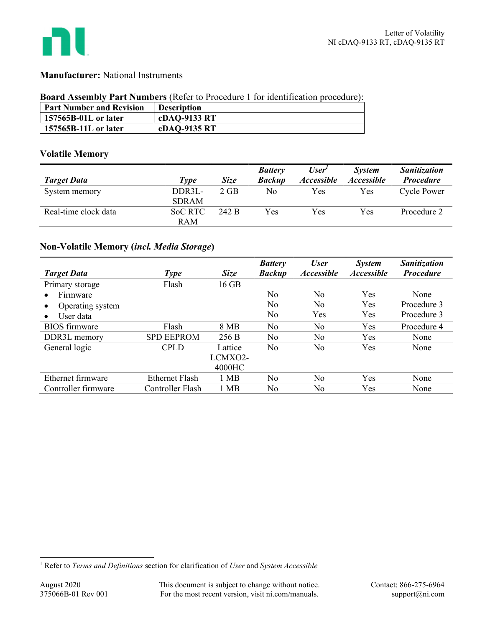

## Manufacturer: National Instruments

### Board Assembly Part Numbers (Refer to Procedure 1 for identification procedure):

| <b>Part Number and Revision</b> | <b>Description</b> |
|---------------------------------|--------------------|
| 157565B-01L or later            | cDAQ-9133 RT       |
| 157565B-11L or later            | cDAQ-9135 RT       |

## Volatile Memory

|                      |                |             | <b>Battery</b> | User'             | <b>System</b>            | <b>Sanitization</b> |
|----------------------|----------------|-------------|----------------|-------------------|--------------------------|---------------------|
| <b>Target Data</b>   | Type           | <b>Size</b> | <b>Backup</b>  | <b>Accessible</b> | <i><b>Accessible</b></i> | <b>Procedure</b>    |
| System memory        | DDR3L-         | $2$ GB      | No             | Yes               | Yes                      | <b>Cycle Power</b>  |
|                      | <b>SDRAM</b>   |             |                |                   |                          |                     |
| Real-time clock data | <b>SoC RTC</b> | 242 B       | Yes            | Yes               | Yes                      | Procedure 2         |
|                      | <b>RAM</b>     |             |                |                   |                          |                     |

# Non-Volatile Memory (incl. Media Storage)

|                        |                   |             | <b>Battery</b> | <b>User</b>       | <b>System</b>            | Sanitization     |
|------------------------|-------------------|-------------|----------------|-------------------|--------------------------|------------------|
| <b>Target Data</b>     | <b>Type</b>       | <b>Size</b> | <b>Backup</b>  | <b>Accessible</b> | <i><b>Accessible</b></i> | <b>Procedure</b> |
| Primary storage        | Flash             | 16 GB       |                |                   |                          |                  |
| Firmware               |                   |             | N <sub>0</sub> | N <sub>0</sub>    | Yes                      | None             |
| Operating system       |                   |             | No             | No                | Yes                      | Procedure 3      |
| User data<br>$\bullet$ |                   |             | No             | Yes               | Yes                      | Procedure 3      |
| <b>BIOS</b> firmware   | Flash             | 8 MB        | No             | N <sub>o</sub>    | Yes                      | Procedure 4      |
| DDR3L memory           | <b>SPD EEPROM</b> | 256 B       | No             | N <sub>0</sub>    | Yes                      | None             |
| General logic          | <b>CPLD</b>       | Lattice     | No             | No                | Yes                      | None             |
|                        |                   | LCMXO2-     |                |                   |                          |                  |
|                        |                   | 4000HC      |                |                   |                          |                  |
| Ethernet firmware      | Ethernet Flash    | 1 MB        | No             | N <sub>0</sub>    | Yes                      | None             |
| Controller firmware    | Controller Flash  | 1 MB        | No             | No                | Yes                      | None             |

<sup>&</sup>lt;sup>1</sup> Refer to Terms and Definitions section for clarification of User and System Accessible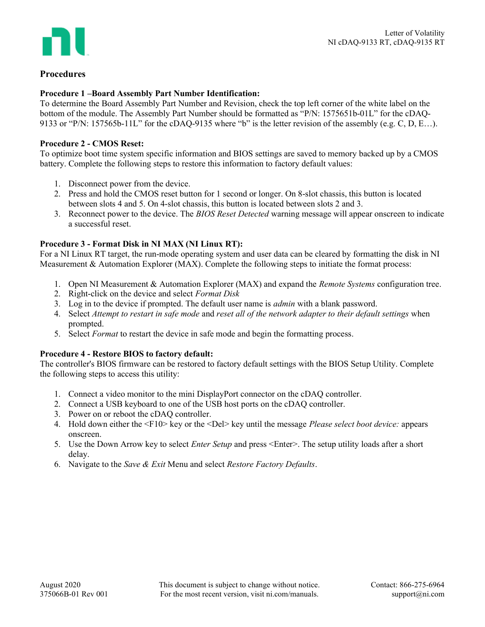

# Procedures

## Procedure 1 –Board Assembly Part Number Identification:

To determine the Board Assembly Part Number and Revision, check the top left corner of the white label on the bottom of the module. The Assembly Part Number should be formatted as "P/N: 1575651b-01L" for the cDAQ-9133 or "P/N: 157565b-11L" for the cDAQ-9135 where "b" is the letter revision of the assembly (e.g. C, D, E…).

### Procedure 2 - CMOS Reset:

To optimize boot time system specific information and BIOS settings are saved to memory backed up by a CMOS battery. Complete the following steps to restore this information to factory default values:

- 1. Disconnect power from the device.
- 2. Press and hold the CMOS reset button for 1 second or longer. On 8-slot chassis, this button is located between slots 4 and 5. On 4-slot chassis, this button is located between slots 2 and 3.
- 3. Reconnect power to the device. The BIOS Reset Detected warning message will appear onscreen to indicate a successful reset.

### Procedure 3 - Format Disk in NI MAX (NI Linux RT):

For a NI Linux RT target, the run-mode operating system and user data can be cleared by formatting the disk in NI Measurement & Automation Explorer (MAX). Complete the following steps to initiate the format process:

- 1. Open NI Measurement & Automation Explorer (MAX) and expand the *Remote Systems* configuration tree.
- 2. Right-click on the device and select Format Disk
- 3. Log in to the device if prompted. The default user name is admin with a blank password.
- 4. Select Attempt to restart in safe mode and reset all of the network adapter to their default settings when prompted.
- 5. Select Format to restart the device in safe mode and begin the formatting process.

### Procedure 4 - Restore BIOS to factory default:

The controller's BIOS firmware can be restored to factory default settings with the BIOS Setup Utility. Complete the following steps to access this utility:

- 1. Connect a video monitor to the mini DisplayPort connector on the cDAQ controller.
- 2. Connect a USB keyboard to one of the USB host ports on the cDAQ controller.
- 3. Power on or reboot the cDAQ controller.
- 4. Hold down either the <F10> key or the <Del> key until the message Please select boot device: appears onscreen.
- 5. Use the Down Arrow key to select *Enter Setup* and press <Enter>. The setup utility loads after a short delay.
- 6. Navigate to the Save & Exit Menu and select Restore Factory Defaults.